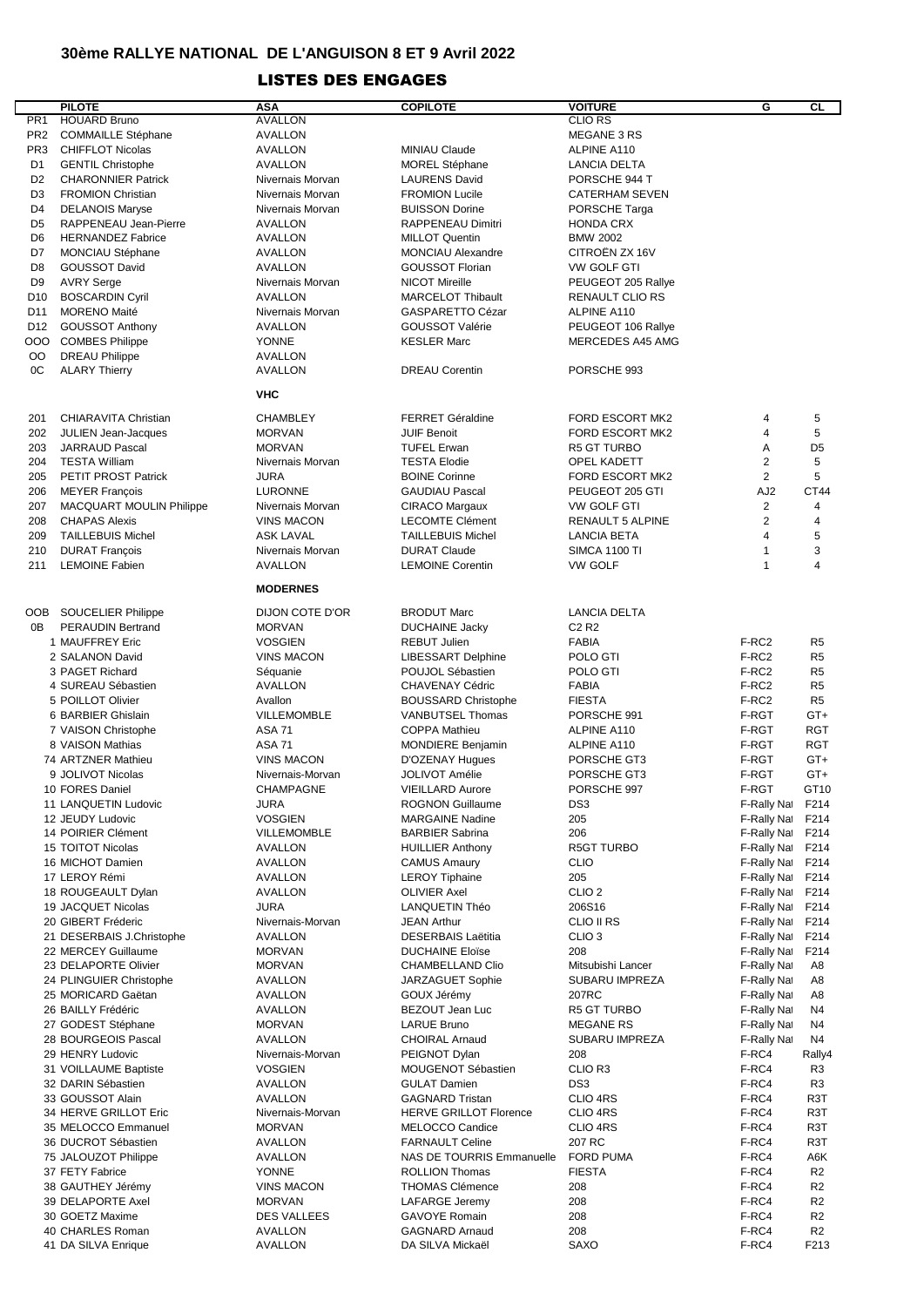## **30ème RALLYE NATIONAL DE L'ANGUISON 8 ET 9 Avril 2022**

## LISTES DES ENGAGES

|                 | <b>PILOTE</b>                   | <b>ASA</b>         | <b>COPILOTE</b>                  | <b>VOITURE</b>                | G                 | CL               |
|-----------------|---------------------------------|--------------------|----------------------------------|-------------------------------|-------------------|------------------|
| PR1             | <b>HOUARD Bruno</b>             | <b>AVALLON</b>     |                                  | <b>CLIO RS</b>                |                   |                  |
| PR <sub>2</sub> | <b>COMMAILLE Stéphane</b>       | AVALLON            |                                  | MEGANE 3 RS                   |                   |                  |
| PR3             | <b>CHIFFLOT Nicolas</b>         | <b>AVALLON</b>     | <b>MINIAU Claude</b>             | ALPINE A110                   |                   |                  |
| D <sub>1</sub>  | <b>GENTIL Christophe</b>        | AVALLON            | <b>MOREL Stéphane</b>            | LANCIA DELTA                  |                   |                  |
| D <sub>2</sub>  | <b>CHARONNIER Patrick</b>       | Nivernais Morvan   | <b>LAURENS David</b>             | PORSCHE 944 T                 |                   |                  |
|                 |                                 |                    |                                  |                               |                   |                  |
| D <sub>3</sub>  | <b>FROMION Christian</b>        | Nivernais Morvan   | <b>FROMION Lucile</b>            | <b>CATERHAM SEVEN</b>         |                   |                  |
| D <sub>4</sub>  | <b>DELANOIS Maryse</b>          | Nivernais Morvan   | <b>BUISSON Dorine</b>            | PORSCHE Targa                 |                   |                  |
| D <sub>5</sub>  | RAPPENEAU Jean-Pierre           | <b>AVALLON</b>     | RAPPENEAU Dimitri                | <b>HONDA CRX</b>              |                   |                  |
| D <sub>6</sub>  | <b>HERNANDEZ Fabrice</b>        | <b>AVALLON</b>     | <b>MILLOT Quentin</b>            | <b>BMW 2002</b>               |                   |                  |
| D7              | <b>MONCIAU Stéphane</b>         | AVALLON            | <b>MONCIAU Alexandre</b>         | CITROËN ZX 16V                |                   |                  |
| D <sub>8</sub>  | <b>GOUSSOT David</b>            | <b>AVALLON</b>     | <b>GOUSSOT Florian</b>           | <b>VW GOLF GTI</b>            |                   |                  |
| D <sub>9</sub>  | <b>AVRY Serge</b>               | Nivernais Morvan   | <b>NICOT Mireille</b>            | PEUGEOT 205 Rallye            |                   |                  |
| D <sub>10</sub> | <b>BOSCARDIN Cyril</b>          | AVALLON            | <b>MARCELOT Thibault</b>         | <b>RENAULT CLIO RS</b>        |                   |                  |
| D11             | <b>MORENO Maité</b>             | Nivernais Morvan   | GASPARETTO Cézar                 | ALPINE A110                   |                   |                  |
| D12             | <b>GOUSSOT Anthony</b>          | AVALLON            | GOUSSOT Valérie                  | PEUGEOT 106 Rallye            |                   |                  |
| OOO             | <b>COMBES Philippe</b>          | <b>YONNE</b>       | <b>KESLER Marc</b>               | MERCEDES A45 AMG              |                   |                  |
| OO              |                                 | AVALLON            |                                  |                               |                   |                  |
|                 | <b>DREAU Philippe</b>           |                    |                                  |                               |                   |                  |
| 0C              | <b>ALARY Thierry</b>            | <b>AVALLON</b>     | <b>DREAU Corentin</b>            | PORSCHE 993                   |                   |                  |
|                 |                                 | <b>VHC</b>         |                                  |                               |                   |                  |
|                 |                                 |                    |                                  |                               |                   |                  |
| 201             | CHIARAVITA Christian            | <b>CHAMBLEY</b>    | <b>FERRET Géraldine</b>          | <b>FORD ESCORT MK2</b>        | 4                 | 5                |
| 202             | JULIEN Jean-Jacques             | <b>MORVAN</b>      | <b>JUIF Benoit</b>               | <b>FORD ESCORT MK2</b>        | $\overline{4}$    | 5                |
| 203             | JARRAUD Pascal                  | <b>MORVAN</b>      | <b>TUFEL Erwan</b>               | <b>R5 GT TURBO</b>            | Α                 | D <sub>5</sub>   |
| 204             | <b>TESTA William</b>            | Nivernais Morvan   | <b>TESTA Elodie</b>              | <b>OPEL KADETT</b>            | $\overline{2}$    | 5                |
| 205             | PETIT PROST Patrick             | <b>JURA</b>        | <b>BOINE Corinne</b>             | FORD ESCORT MK2               | $\overline{2}$    | 5                |
|                 |                                 |                    |                                  |                               |                   |                  |
| 206             | <b>MEYER François</b>           | <b>LURONNE</b>     | <b>GAUDIAU Pascal</b>            | PEUGEOT 205 GTI               | AJ <sub>2</sub>   | CT44             |
| 207             | <b>MACQUART MOULIN Philippe</b> | Nivernais Morvan   | <b>CIRACO Margaux</b>            | VW GOLF GTI                   | 2                 | $\overline{4}$   |
| 208             | <b>CHAPAS Alexis</b>            | <b>VINS MACON</b>  | <b>LECOMTE Clément</b>           | <b>RENAULT 5 ALPINE</b>       | 2                 | $\overline{4}$   |
| 209             | <b>TAILLEBUIS Michel</b>        | <b>ASK LAVAL</b>   | <b>TAILLEBUIS Michel</b>         | <b>LANCIA BETA</b>            | $\overline{4}$    | 5                |
| 210             | <b>DURAT François</b>           | Nivernais Morvan   | <b>DURAT Claude</b>              | <b>SIMCA 1100 TI</b>          | $\mathbf{1}$      | 3                |
| 211             | <b>LEMOINE Fabien</b>           | <b>AVALLON</b>     | <b>LEMOINE Corentin</b>          | <b>VW GOLF</b>                | $\mathbf{1}$      | $\overline{4}$   |
|                 |                                 |                    |                                  |                               |                   |                  |
|                 |                                 | <b>MODERNES</b>    |                                  |                               |                   |                  |
|                 | OOB SOUCELIER Philippe          | DIJON COTE D'OR    | <b>BRODUT Marc</b>               | LANCIA DELTA                  |                   |                  |
| 0B              | <b>PERAUDIN Bertrand</b>        | <b>MORVAN</b>      |                                  | C <sub>2</sub> R <sub>2</sub> |                   |                  |
|                 |                                 |                    | <b>DUCHAINE Jacky</b>            |                               |                   |                  |
|                 | 1 MAUFFREY Eric                 | <b>VOSGIEN</b>     | <b>REBUT Julien</b>              | <b>FABIA</b>                  | F-RC <sub>2</sub> | R <sub>5</sub>   |
|                 | 2 SALANON David                 | <b>VINS MACON</b>  | <b>LIBESSART Delphine</b>        | POLO GTI                      | F-RC2             | R5               |
|                 | 3 PAGET Richard                 | Séquanie           | POUJOL Sébastien                 | POLO GTI                      | F-RC2             | R5               |
|                 | 4 SUREAU Sébastien              | AVALLON            | CHAVENAY Cédric                  | <b>FABIA</b>                  | F-RC2             | R <sub>5</sub>   |
|                 | 5 POILLOT Olivier               | Avallon            | <b>BOUSSARD Christophe</b>       | <b>FIESTA</b>                 | F-RC2             | R5               |
|                 | 6 BARBIER Ghislain              | <b>VILLEMOMBLE</b> | VANBUTSEL Thomas                 | PORSCHE 991                   | F-RGT             | GT+              |
|                 | 7 VAISON Christophe             | <b>ASA 71</b>      | <b>COPPA Mathieu</b>             | ALPINE A110                   | F-RGT             | <b>RGT</b>       |
|                 | 8 VAISON Mathias                | <b>ASA 71</b>      | <b>MONDIERE Benjamin</b>         | ALPINE A110                   | F-RGT             | RGT              |
|                 | 74 ARTZNER Mathieu              | <b>VINS MACON</b>  | D'OZENAY Hugues                  | PORSCHE GT3                   | F-RGT             | GT+              |
|                 | 9 JOLIVOT Nicolas               | Nivernais-Morvan   | <b>JOLIVOT Amélie</b>            | PORSCHE GT3                   | F-RGT             | GT+              |
|                 | 10 FORES Daniel                 |                    |                                  |                               |                   | GT <sub>10</sub> |
|                 |                                 | CHAMPAGNE          | <b>VIEILLARD Aurore</b>          | PORSCHE 997                   | F-RGT             |                  |
|                 | 11 LANQUETIN Ludovic            | <b>JURA</b>        | <b>ROGNON Guillaume</b>          | DS <sub>3</sub>               | F-Rally Nat F214  |                  |
|                 | 12 JEUDY Ludovic                | <b>VOSGIEN</b>     | <b>MARGAINE Nadine</b>           | 205                           | F-Rally Nat       | F214             |
|                 | 14 POIRIER Clément              | <b>VILLEMOMBLE</b> | <b>BARBIER Sabrina</b>           | 206                           | F-Rally Nat       | F214             |
|                 | 15 TOITOT Nicolas               | AVALLON            | <b>HUILLIER Anthony</b>          | R5GT TURBO                    | F-Rally Nat       | F214             |
|                 | 16 MICHOT Damien                | AVALLON            | <b>CAMUS Amaury</b>              | <b>CLIO</b>                   | F-Rally Nat       | F214             |
|                 | 17 LEROY Rémi                   | <b>AVALLON</b>     | <b>LEROY Tiphaine</b>            | 205                           | F-Rally Nat       | F214             |
|                 | 18 ROUGEAULT Dylan              | AVALLON            | <b>OLIVIER Axel</b>              | CLIO <sub>2</sub>             | F-Rally Nat       | F214             |
|                 | 19 JACQUET Nicolas              | <b>JURA</b>        | <b>LANQUETIN Théo</b>            | 206S16                        | F-Rally Nat       | F214             |
|                 | 20 GIBERT Fréderic              | Nivernais-Morvan   | <b>JEAN Arthur</b>               | <b>CLIO II RS</b>             | F-Rally Nat       | F214             |
|                 | 21 DESERBAIS J.Christophe       | AVALLON            | DESERBAIS Laëtitia               | CLIO <sub>3</sub>             | F-Rally Nat       | F214             |
|                 | 22 MERCEY Guillaume             | <b>MORVAN</b>      | <b>DUCHAINE Eloïse</b>           | 208                           | F-Rally Nat       | F214             |
|                 | 23 DELAPORTE Olivier            | <b>MORVAN</b>      | CHAMBELLAND Clio                 | Mitsubishi Lancer             |                   | A8               |
|                 |                                 |                    |                                  |                               | F-Rally Nat       |                  |
|                 | 24 PLINGUIER Christophe         | AVALLON            | JARZAGUET Sophie                 | SUBARU IMPREZA                | F-Rally Nat       | A8               |
|                 | 25 MORICARD Gaëtan              | <b>AVALLON</b>     | GOUX Jérémy                      | 207RC                         | F-Rally Nat       | A8               |
|                 | 26 BAILLY Frédéric              | <b>AVALLON</b>     | BEZOUT Jean Luc                  | R5 GT TURBO                   | F-Rally Nat       | N4               |
|                 | 27 GODEST Stéphane              | <b>MORVAN</b>      | <b>LARUE Bruno</b>               | <b>MEGANE RS</b>              | F-Rally Nat       | N4               |
|                 | 28 BOURGEOIS Pascal             | AVALLON            | <b>CHOIRAL Arnaud</b>            | SUBARU IMPREZA                | F-Rally Nat       | N4               |
|                 | 29 HENRY Ludovic                | Nivernais-Morvan   | PEIGNOT Dylan                    | 208                           | F-RC4             | Rally4           |
|                 | 31 VOILLAUME Baptiste           | <b>VOSGIEN</b>     | MOUGENOT Sébastien               | CLIO R3                       | F-RC4             | R3               |
|                 | 32 DARIN Sébastien              | <b>AVALLON</b>     | <b>GULAT Damien</b>              | DS <sub>3</sub>               | F-RC4             | R3               |
|                 | 33 GOUSSOT Alain                | AVALLON            | <b>GAGNARD Tristan</b>           | CLIO 4RS                      | F-RC4             | R3T              |
|                 | 34 HERVE GRILLOT Eric           | Nivernais-Morvan   | <b>HERVE GRILLOT Florence</b>    | CLIO 4RS                      | F-RC4             | R3T              |
|                 |                                 |                    |                                  |                               |                   |                  |
|                 | 35 MELOCCO Emmanuel             | <b>MORVAN</b>      | MELOCCO Candice                  | CLIO 4RS                      | F-RC4             | R3T              |
|                 | 36 DUCROT Sébastien             | AVALLON            | <b>FARNAULT Celine</b>           | 207 RC                        | F-RC4             | R3T              |
|                 | 75 JALOUZOT Philippe            | <b>AVALLON</b>     | <b>NAS DE TOURRIS Emmanuelle</b> | FORD PUMA                     | F-RC4             | A6K              |
|                 | 37 FETY Fabrice                 | <b>YONNE</b>       | <b>ROLLION Thomas</b>            | <b>FIESTA</b>                 | F-RC4             | R <sub>2</sub>   |
|                 | 38 GAUTHEY Jérémy               | <b>VINS MACON</b>  | <b>THOMAS Clémence</b>           | 208                           | F-RC4             | R <sub>2</sub>   |
|                 | 39 DELAPORTE Axel               | <b>MORVAN</b>      | LAFARGE Jeremy                   | 208                           | F-RC4             | R <sub>2</sub>   |
|                 | 30 GOETZ Maxime                 | <b>DES VALLEES</b> | <b>GAVOYE Romain</b>             | 208                           | F-RC4             | R <sub>2</sub>   |
|                 | 40 CHARLES Roman                | <b>AVALLON</b>     | <b>GAGNARD Arnaud</b>            | 208                           | F-RC4             | R <sub>2</sub>   |
|                 | 41 DA SILVA Enrique             | <b>AVALLON</b>     | DA SILVA Mickaël                 | SAXO                          | F-RC4             | F213             |
|                 |                                 |                    |                                  |                               |                   |                  |